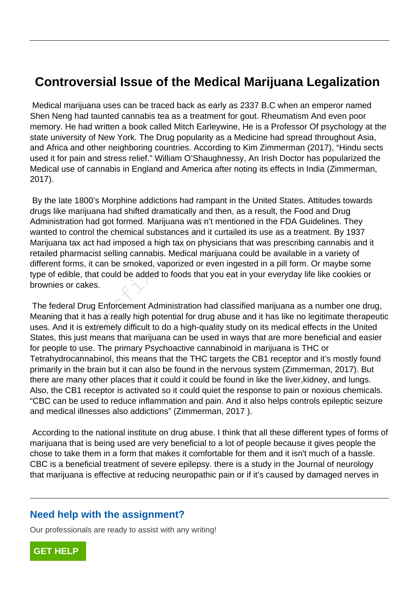# **Controversial Issue of the Medical Marijuana Legalization**

 Medical marijuana uses can be traced back as early as 2337 B.C when an emperor named Shen Neng had taunted cannabis tea as a treatment for gout. Rheumatism And even poor memory. He had written a book called Mitch Earleywine, He is a Professor Of psychology at the state university of New York. The Drug popularity as a Medicine had spread throughout Asia, and Africa and other neighboring countries. According to Kim Zimmerman (2017), "Hindu sects used it for pain and stress relief." William O'Shaughnessy, An Irish Doctor has popularized the Medical use of cannabis in England and America after noting its effects in India (Zimmerman, 2017).

 By the late 1800's Morphine addictions had rampant in the United States. Attitudes towards drugs like marijuana had shifted dramatically and then, as a result, the Food and Drug Administration had got formed. Marijuana was n't mentioned in the FDA Guidelines. They wanted to control the chemical substances and it curtailed its use as a treatment. By 1937 Marijuana tax act had imposed a high tax on physicians that was prescribing cannabis and it retailed pharmacist selling cannabis. Medical marijuana could be available in a variety of different forms, it can be smoked, vaporized or even ingested in a pill form. Or maybe some type of edible, that could be added to foods that you eat in your everyday life like cookies or brownies or cakes. tion had got formed. Marijuana was n't<br>control the chemical substances and it<br>tax act had imposed a high tax on phy-<br>armacist selling cannabis. Medical mai<br>prms, it can be smoked, vaporized or ev<br>ble, that could be added t

 The federal Drug Enforcement Administration had classified marijuana as a number one drug, Meaning that it has a really high potential for drug abuse and it has like no legitimate therapeutic uses. And it is extremely difficult to do a high-quality study on its medical effects in the United States, this just means that marijuana can be used in ways that are more beneficial and easier for people to use. The primary Psychoactive cannabinoid in marijuana is THC or Tetrahydrocannabinol, this means that the THC targets the CB1 receptor and it's mostly found primarily in the brain but it can also be found in the nervous system (Zimmerman, 2017). But there are many other places that it could it could be found in like the liver,kidney, and lungs. Also, the CB1 receptor is activated so it could quiet the response to pain or noxious chemicals. "CBC can be used to reduce inflammation and pain. And it also helps controls epileptic seizure and medical illnesses also addictions" (Zimmerman, 2017 ).

 According to the national institute on drug abuse. I think that all these different types of forms of marijuana that is being used are very beneficial to a lot of people because it gives people the chose to take them in a form that makes it comfortable for them and it isn't much of a hassle. CBC is a beneficial treatment of severe epilepsy. there is a study in the Journal of neurology that marijuana is effective at reducing neuropathic pain or if it's caused by damaged nerves in

### **Need help with the assignment?**

Our professionals are ready to assist with any writing!

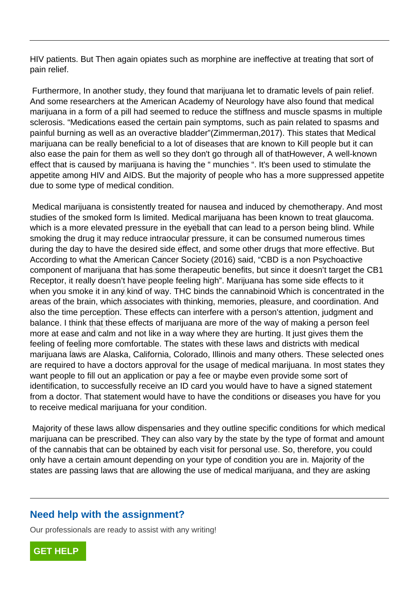HIV patients. But Then again opiates such as morphine are ineffective at treating that sort of pain relief.

 Furthermore, In another study, they found that marijuana let to dramatic levels of pain relief. And some researchers at the American Academy of Neurology have also found that medical marijuana in a form of a pill had seemed to reduce the stiffness and muscle spasms in multiple sclerosis. "Medications eased the certain pain symptoms, such as pain related to spasms and painful burning as well as an overactive bladder"(Zimmerman,2017). This states that Medical marijuana can be really beneficial to a lot of diseases that are known to Kill people but it can also ease the pain for them as well so they don't go through all of thatHowever, A well-known effect that is caused by marijuana is having the " munchies ". It's been used to stimulate the appetite among HIV and AIDS. But the majority of people who has a more suppressed appetite due to some type of medical condition.

 Medical marijuana is consistently treated for nausea and induced by chemotherapy. And most studies of the smoked form Is limited. Medical marijuana has been known to treat glaucoma. which is a more elevated pressure in the eyeball that can lead to a person being blind. While smoking the drug it may reduce intraocular pressure, it can be consumed numerous times during the day to have the desired side effect, and some other drugs that more effective. But According to what the American Cancer Society (2016) said, "CBD is a non Psychoactive component of marijuana that has some therapeutic benefits, but since it doesn't target the CB1 Receptor, it really doesn't have people feeling high". Marijuana has some side effects to it when you smoke it in any kind of way. THC binds the cannabinoid Which is concentrated in the areas of the brain, which associates with thinking, memories, pleasure, and coordination. And also the time perception. These effects can interfere with a person's attention, judgment and balance. I think that these effects of marijuana are more of the way of making a person feel more at ease and calm and not like in a way where they are hurting. It just gives them the feeling of feeling more comfortable. The states with these laws and districts with medical marijuana laws are Alaska, California, Colorado, Illinois and many others. These selected ones are required to have a doctors approval for the usage of medical marijuana. In most states they want people to fill out an application or pay a fee or maybe even provide some sort of identification, to successfully receive an ID card you would have to have a signed statement from a doctor. That statement would have to have the conditions or diseases you have for you to receive medical marijuana for your condition. the smoked form is limited. Medical mander and the every more elevated pressure in the eyeball<br>he drug it may reduce intraocular press<br>day to have the desired side effect, an<br>to what the American Cancer Society (<br>it of mar

 Majority of these laws allow dispensaries and they outline specific conditions for which medical marijuana can be prescribed. They can also vary by the state by the type of format and amount of the cannabis that can be obtained by each visit for personal use. So, therefore, you could only have a certain amount depending on your type of condition you are in. Majority of the states are passing laws that are allowing the use of medical marijuana, and they are asking

## **Need help with the assignment?**

Our professionals are ready to assist with any writing!